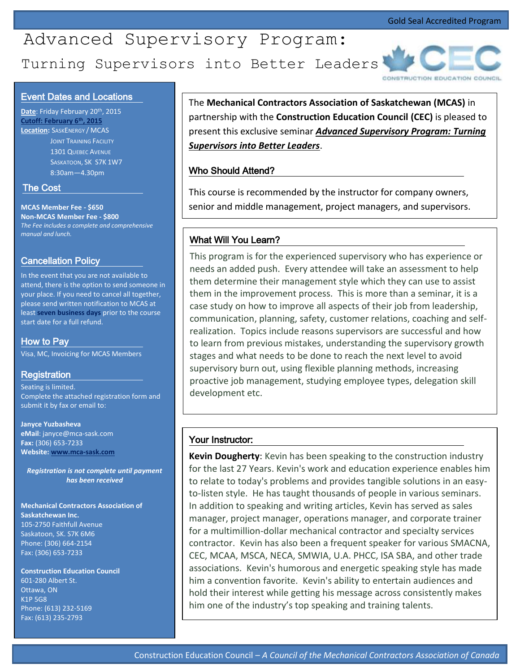# Turning Supervisors into Better Leaders Advanced Supervisory Program:



#### Event Dates and Locations

**Date**: Friday February 20th, 2015 **Cutoff: February 6th, 2015 Location:** SASKENERGY / MCAS **JOINT TRAINING FACILITY**  1301 QUEBEC AVENUE SASKATOON, SK S7K 1W7 8:30am—4.30pm

#### The Cost

**MCAS Member Fee - \$650 Non-MCAS Member Fee - \$800** *The Fee includes a complete and comprehensive manual and lunch.*

#### Cancellation Policy

In the event that you are not available to attend, there is the option to send someone in your place. If you need to cancel all together, please send written notification to MCAS at least **seven business days** prior to the course start date for a full refund.

#### How to Pay

Visa, MC, Invoicing for MCAS Members

#### Registration

Seating is limited. Complete the attached registration form and submit it by fax or email to:

**Janyce Yuzbasheva eMail**: janyce@mca-sask.com **Fax:** (306) 653-7233 **Website[: www.mca-sask.com](http://www.mca-sask.com/)**

*Registration is not complete until payment has been received*

**Mechanical Contractors Association of Saskatchewan Inc.** 105-2750 Faithfull Avenue Saskatoon, SK. S7K 6M6 Phone: (306) 664-2154 Fax: (306) 653-7233

**Construction Education Council**  601-280 Albert St. Ottawa, ON K1P 5G8 Phone: (613) 232-5169 Fax: (613) 235-2793

The **Mechanical Contractors Association of Saskatchewan (MCAS)** in partnership with the **Construction Education Council (CEC)** is pleased to present this exclusive seminar *Advanced Supervisory Program: Turning Supervisors into Better Leaders*.

## Who Should Attend?

This course is recommended by the instructor for company owners, senior and middle management, project managers, and supervisors.

## What Will You Learn?

This program is for the experienced supervisory who has experience or needs an added push. Every attendee will take an assessment to help them determine their management style which they can use to assist them in the improvement process. This is more than a seminar, it is a case study on how to improve all aspects of their job from leadership, communication, planning, safety, customer relations, coaching and selfrealization. Topics include reasons supervisors are successful and how to learn from previous mistakes, understanding the supervisory growth stages and what needs to be done to reach the next level to avoid supervisory burn out, using flexible planning methods, increasing proactive job management, studying employee types, delegation skill development etc.

#### Your Instructor:

**Kevin Dougherty**: Kevin has been speaking to the construction industry for the last 27 Years. Kevin's work and education experience enables him to relate to today's problems and provides tangible solutions in an easyto-listen style. He has taught thousands of people in various seminars. In addition to speaking and writing articles, Kevin has served as sales manager, project manager, operations manager, and corporate trainer for a multimillion-dollar mechanical contractor and specialty services contractor. Kevin has also been a frequent speaker for various SMACNA, CEC, MCAA, MSCA, NECA, SMWIA, U.A. PHCC, ISA SBA, and other trade associations. Kevin's humorous and energetic speaking style has made him a convention favorite. Kevin's ability to entertain audiences and hold their interest while getting his message across consistently makes him one of the industry's top speaking and training talents.